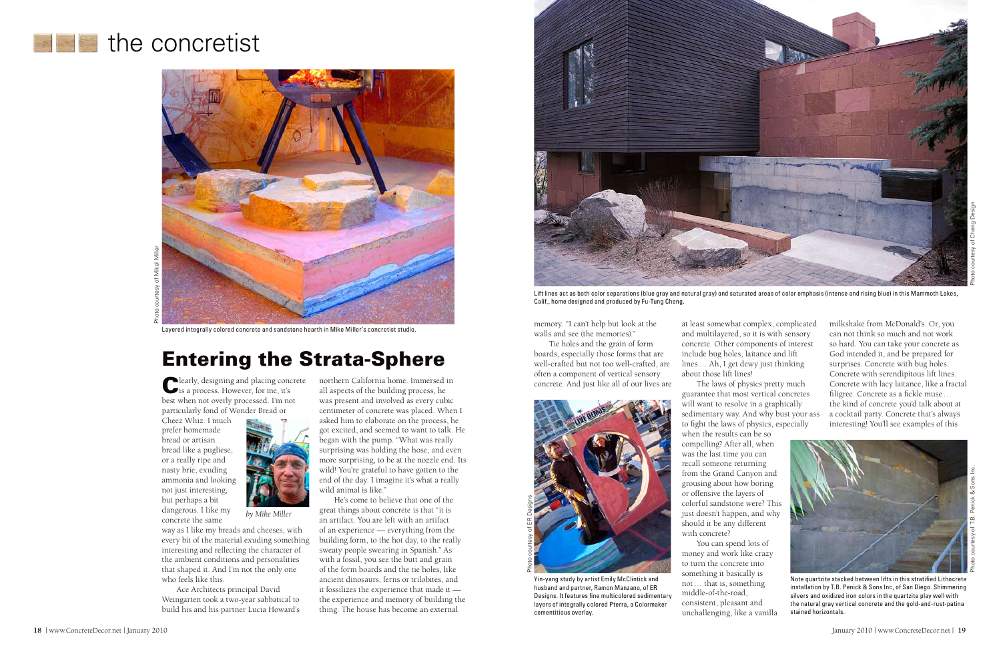

Lift lines act as both color separations (blue gray and natural gray) and saturated areas of color emphasis (intense and rising blue) in this Mammoth Lakes, Calif., home designed and produced by Fu-Tung Cheng.

Clearly, designing and placing concrete is a process. However, for me, it's best when not overly processed. I'm not particularly fond of Wonder Bread or

Cheez Whiz. I much prefer homemade bread or artisan bread like a pugliese, or a really ripe and nasty brie, exuding ammonia and looking not just interesting, but perhaps a bit dangerous. I like my concrete the same



way as I like my breads and cheeses, with every bit of the material exuding something interesting and reflecting the character of the ambient conditions and personalities that shaped it. And I'm not the only one who feels like this.

Ace Architects principal David Weingarten took a two-year sabbatical to build his and his partner Lucia Howard's northern California home. Immersed in all aspects of the building process, he was present and involved as every cubic centimeter of concrete was placed. When I asked him to elaborate on the process, he got excited, and seemed to want to talk. He began with the pump. "What was really surprising was holding the hose, and even more surprising, to be at the nozzle end. Its wild! You're grateful to have gotten to the end of the day. I imagine it's what a really wild animal is like."



Yin-yang study by artist Emily McClintick and husband and partner, Ramon Manzano, of ER Designs. It features fine multicolored sedimentary layers of integrally colored Pterra, a Colormaker cementitious overlay.

He's come to believe that one of the great things about concrete is that "it is an artifact. You are left with an artifact of an experience — everything from the building form, to the hot day, to the really sweaty people swearing in Spanish." As with a fossil, you see the butt and grain of the form boards and the tie holes, like ancient dinosaurs, ferns or trilobites, and it fossilizes the experience that made it the experience and memory of building the thing. The house has become an external

*by Mike Miller*

## Entering the Strata-Sphere

at least somewhat complex, complicated and multilayered, so it is with sensory concrete. Other components of interest include bug holes, laitance and lift lines… Ah, I get dewy just thinking about those lift lines! The laws of physics pretty much

guarantee that most vertical concretes sedimentary way. And why bust your ass to fight the laws of physics, especially

will want to resolve in a graphically when the results can be so compelling? After all, when was the last time you can recall someone returning from the Grand Canyon and grousing about how boring or offensive the layers of colorful sandstone were? This just doesn't happen, and why should it be any different with concrete?

You can spend lots of money and work like crazy to turn the concrete into something it basically is not… that is, something middle-of-the-road, consistent, pleasant and unchallenging, like a vanilla

## **the concretist**



# Photo courtesy of Mikel Miller

memory. "I can't help but look at the walls and see (the memories)."

Tie holes and the grain of form boards, especially those forms that are well-crafted but not too well-crafted, are often a component of vertical sensory concrete. And just like all of our lives are

milkshake from McDonald's. Or, you can not think so much and not work so hard. You can take your concrete as God intended it, and be prepared for surprises. Concrete with bug holes. Concrete with serendipitous lift lines. Concrete with lacy laitance, like a fractal filigree. Concrete as a fickle muse… the kind of concrete you'd talk about at a cocktail party. Concrete that's always interesting! You'll see examples of this



Note quartzite stacked between lifts in this stratified Lithocrete installation by T.B. Penick & Sons Inc, of San Diego. Shimmering silvers and oxidized iron colors in the quartzite play well with the natural gray vertical concrete and the gold-and-rust-patina stained horizontals.

Layered integrally colored concrete and sandstone hearth in Mike Miller's concretist studio.